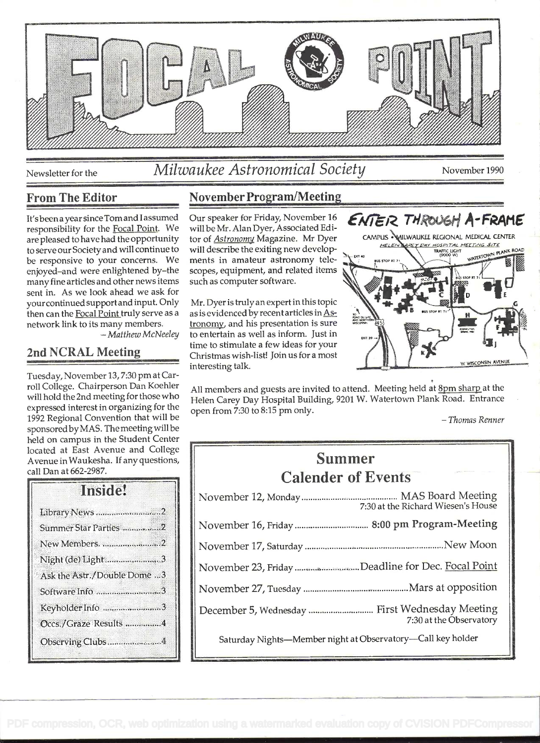

# Newsletter for the *Milwaukee Astronomical Society* November 1990

It'sbeen a year since Tom and I assumed responsibility for the Focal Point. We are pleased to have had the opportunity to serve our Society and will continue to be responsive to your concerns. We enjoyed-and were enlightened by-the many fine articles and other news items sent in. As we look ahead we ask for your continued support and input. Only then can the Focal Point truly serve as a network link to its many members.<br>- Matthew McNeeley

## 2nd NCRAL Meeting

Tuesday, November 13, 7:30 pm at Carroll College. Chairperson Dan Koehler will hold the 2nd meeting for those who expressed interest in organizing for the 1992 Regional Convention that will be sponsored by MAS. The meeting will be held on campus in the Student Center located at East Avenue and College Avenue in Waukesha. If any questions, call Dan at 662-2987.

## Inside!

| Library News 2              |
|-----------------------------|
| Summer Star Parties 2       |
| New Members. 2              |
| Night (de) Light3           |
| Ask the Astr./Double Dome 3 |
| Software Info 3             |
| Keyholder Info 3            |
| Occs./Graze Results 4       |
| Observing Clubs4            |
|                             |

## From The Editor November Program/Meeting

Our speaker for Friday, November 16 will be Mr. Alan Dyer, Associated Editor of Astronomy Magazine. Mr Dyer will describe the exiting new developments in amateur astronomy telescopes, equipment, and related items such as computer software.

Mr. Dyer is truly an expert in this topic as is evidenced by recent articles in Astronomy, and his presentation is sure to entertain as well as inform. Just in time to stimulate a few ideas for your Christmas wish-list! Join us for a most interesting talk.



All members and guests are invited to attend. Meeting held at **8pm sharp** at the Helen Carey Day Hospital Building, 9201 W. Watertown Plank Road. Entrance open from 7:30 to 8:15 pm only.<br>- Thomas Renner

# Summer Calender of Events

| 7:30 at the Richard Wiesen's House                          |  |
|-------------------------------------------------------------|--|
|                                                             |  |
|                                                             |  |
| November 23, Friday Deadline for Dec. Focal Point           |  |
|                                                             |  |
| 7:30 at the Observatory                                     |  |
| Saturday Nights-Member night at Observatory-Call key holder |  |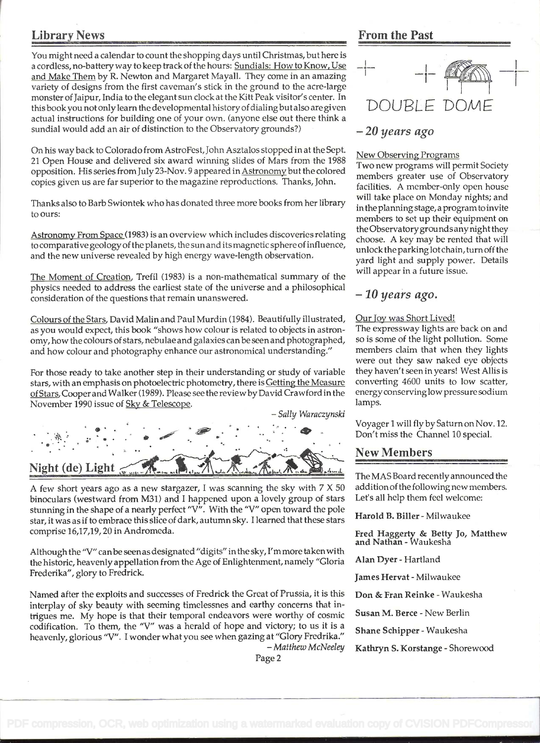You might need a calendar to count the shopping days until Christmas, but here is a cordless, no-battery way to keep track of the hours: Sundials: How to Know, Use and Make Them by R. Newton and Margaret Mayali. They come in an amazing variety of designs from the first caveman's stick in the ground to the acre-large monster of Jaipur, India to the elegant sun clock at the Kitt Peak visitor's center. In this book you not only learn the developmental history of dialing but also are given actual instructions for building one of your own. (anyone else out there think a sundial would add an air of distinction to the Observatory grounds?)

on his way back to Colorado from AstroFest, John Asztalos stopped in at the Sept. <sup>21</sup>Open House and delivered six award winning slides of Mars from the 1988 opposition. His series fromJuly 23-Nov. 9 appeared in Astronomy but the colored copies given us are far superior to the magazine reproductions. Thanks, John.

Thanks also to Barb Swiontek who has donated three more books from her library to ours:

Astronomy From Space (1983) is an overview which includes discoveries relating to comparative geology ofthe planets, the sun and its magnetic sphere of influence, and the new universe revealed by high energy wave-length observation.

The Moment of Creation, Trefil (1983) is a non-mathematical summary of the physics needed to address the earliest state of the universe and a philosophical consideration of the questions that remain unanswered.

Colours of the Stars, David Malin and Paul Murdin (1984). Beautifully illustrated, as you would expect, this book "shows how colour is related to objects in astronomy, how the colours of stars, nebulae and galaxies can be seen and photographed, and how colour and photography enhance our astronomical understanding."

For those ready to take another step in their understanding or study of variable stars, with an emphasis on photoelectric photometry, there is Getting the Measure ofStars, Cooper and Walker (1989). Please see the review by David Crawford in the November 1990 issue of Sky & Telescope.<br>- Sally Waraczynski



A few short years ago as a new stargazer, I was scanning the sky with 7 X 50 binoculars (westward from M31) and I happened upon a lovely group of stars stunning in the shape of a nearly perfect "V". With the "V" open toward the pole star, it was as if to embrace this slice of dark, autumn sky. I learned that these stars comprise 16,17,19, 20 in Andromeda.

Although the "V" canbe seenas designated "digits" inthe sky, I'm more taken with the historic, heavenly appellation from the Age of Enlightenment, namely "Gloria Frederika", glory to Fredrick.

Named after the exploits and successes of Fredrick the Great of Prussia, it is this interplay of sky beauty with seeming timelessnes and earthy concerns that intrigues me. My hope is that their temporal endeavors were worthy of cosmic codification. To them, the "V" was a herald of hope and victory; to us it is a heavenly, glorious "V". I wonder what you see when gazing at "Glory Fredrika." - Matthew McNeeley

## Library News From the Past



#### - 20 years ago

#### New Observing Programs

Two new programs will permit Society members greater use of Observatory facilities. A member-only open house will take place on Monday nights; and in the planning stage, a program to invite members to set up their equipment on the Observatory grounds anynight they choose. A key may be rented that will unlock the parking lot chain, turn off the yard light and supply power. Details will appear in a future issue.

#### $-10$  years ago.

#### Our Joy was Short Lived!

The expressway lights are back on and so is some of the light pollution. Some members claim that when they lights were out they saw naked eye objects they haven't seen in years! West Allis is converting 4600 units to low scatter, energy conserving low pressure sodium lamps.

Voyager 1 will fly by Saturn on Nov. 12. Don't miss the Channel 10 special.

## New Members

The MAS Board recently announced the addition of the following new members. Let's all help them feel welcome:

Harold B. Biller - Milwaukee

Fred Haggerty & Betty Jo, Matthew and Nathan - Waukesha

Alan Dyer - Hartland

James Hervat - Milwaukee

Don & Fran Reinke - Waukesha

Susan M. Berce - New Berlin

Shane Schipper - Waukesha

Kathryn S. Korstange - Shorewood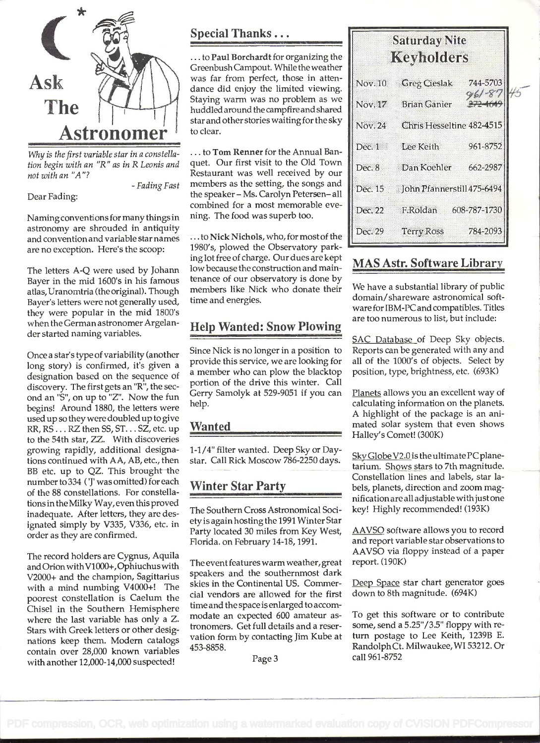

Why is the first variable star in a constellation begin with an "R" as in R Leonis and not with an "A"?

- Fading Fast

Dear Fading:

Naming conventions for many things in astronomy are shrouded in antiquity and convention and variable star names are no exception. Here's the scoop:

The letters A-Q were used by Johann Bayer in the mid 1600's in his famous atlas, Uranomtria (the original). Though Bayer's letters were not generally used, they were popular in the mid 1800's when the German astronomer Argelander started naming variables.

Once a star's type of variability (another long story) is confirmed, it's given a designation based on the sequence of discovery. The first gets an "R", the second an "S", on up to "Z". Now the fun begins! Around 1880, the letters were used up so they were doubled up to give RR, RS.. . RZ then SS, ST. . . SZ, etc. up to the 54th star, ZZ. With discoveries growing rapidly, additional designations continued with AA, AB, etc., then BB etc. up to QZ. This brought the number to 334 ('J' was omitted) for each of the 88 constellations. For constellationsintheMilky Way,even this proved inadequate. After letters, they are designated simply by V335, V336, etc. in order as they are confirmed.

The record holders are Cygnus, Aquila and Orion with Vi 000+, Ophiuchus with V2000+ and the champion, Sagittarius with a mind numbing V4000+! The poorest constellation is Caelum the Chisel in the Southern Hemisphere where the last variable has only a Z. Stars with Greek letters or other designations keep them. Modem catalogs contain over 28,000 known variables with another 12,000-14,000 suspected!

Special Thanks...

... to Paul Borchardt for organizing the Greenbush Campout. While the weather was far from perfect, those in attendance did enjoy the limited viewing. Staying warm was no problem as we huddled around the campfire and shared star and other stories waiting for the sky to clear.

... to Tom Renner for the Annual Banquet. Our first visit to the Old Town Restaurant was well received by our members as the setting, the songs and the speaker - Ms. Carolyn Petersen- all combined for a most memorable evening. The food was superb too.

... to Nick Nichols, who, for most of the 1980's, plowed the Observatory parking lot free of charge. Our dues are kept low because the construction and maintenance of our observatory is done by members like Nick who donate their time and energies.

## Help Wanted: Snow Plowing

Since Nick is no longer in a position to provide this service, we are looking for a member who can plow the blacktop portion of the drive this winter. Call Gerry Samolyk at 529-9051 if you can help.

#### Wanted

1-1/4" filter wanted. Deep Sky or Daystar. Call Rick Moscow 786-2250 days.

## Winter Star Party

The Southern Cross Astronomical Society is again hosting the 1991 Winter Star Party located 30 miles from Key West, Florida. on February 14-18, 1991.

The event features warm weather, great speakers and the southernmost dark skies in the Continental US. Commercial vendors are allowed for the first time and the space is enlarged to accommodate an expected 600 amateur astronomers. Get full details and a reservation form by contacting Jim Kube at 453-8858.

Page 3

|         | <b>Saturday Nite</b><br><b>Keyholders</b> |                    |
|---------|-------------------------------------------|--------------------|
|         | Nov. 10 Greg Cieslak                      | 744-5703<br>961-87 |
|         | Nov. 17 Brian Ganier                      |                    |
| Nov. 24 | Chris Hesseltine 482-4515                 |                    |
| Dec.1   | Lee Keith                                 | 961-8752           |
| Dec. 8  | Dan Koehler                               | 662-2987           |
|         | Dec. 15 John Pfannerstill 475-6494        |                    |
| Dec. 22 | F.Roldan                                  | 608-787-1730       |
| Dec. 29 | <b>Terry Ross</b>                         | 784-2093           |

## MAS Astr. Software Library

We have a substantial library of public domain/shareware astronomical software for IBM-PC and compatibles. Titles are too numerous to list, but include:

SAC Database of Deep Sky objects. Reports can be generated with any and all of the 1000's of objects. Select by position, type, brightness, etc. (693K)

Planets allows you an excellent way of calculating information on the planets. A highlight of the package is an animated solar system that even shows Halley's Comet! (300K)

Sky Globe V2.0 is the ultimate PC planetarium. Shows stars to 7th magnitude. Constellation lines and labels, star labels, planets, direction and zoom magnification are all adjustable with just one key! Highly recommended! (193K)

AAVSO software allows you to record and report variable star observations to AAVSO via floppy instead of a paper report. (190K)

Deep Space star chart generator goes down to 8th magnitude. (694K)

To get this software or to contribute some, send a 5.25"/3.5" floppy with return postage to Lee Keith, 1239B E. RandolphCt. Milwaukee,WI 53212. Or call 961-8752